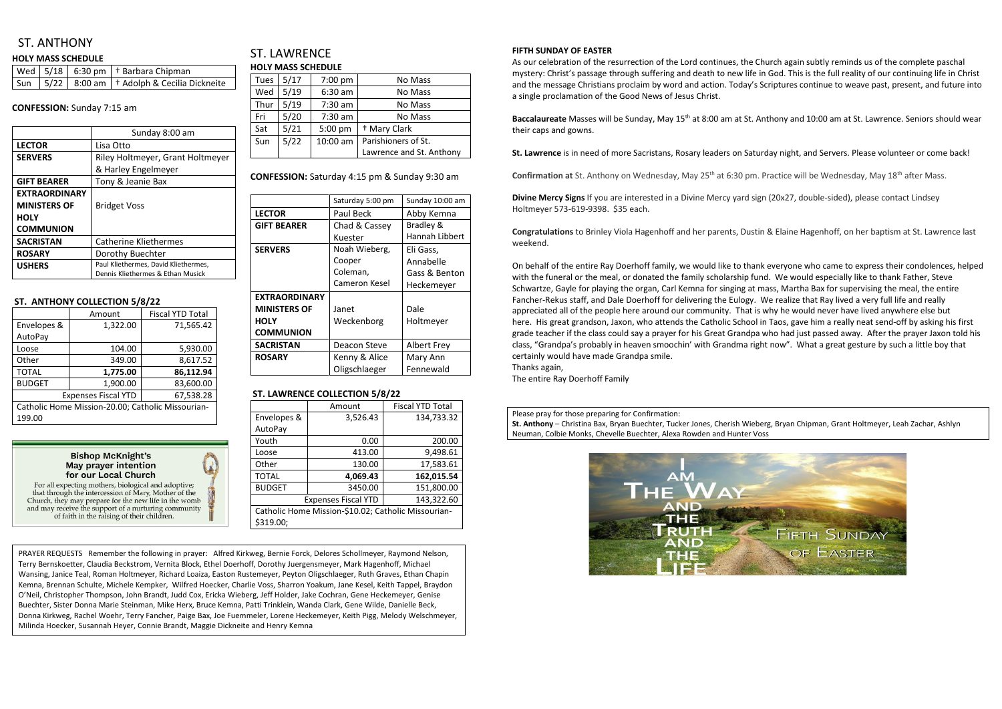# ST. ANTHONY

#### **HOLY MASS SCHEDULE**

|  | Wed   5/18   6:30 pm   † Barbara Chipman                      |
|--|---------------------------------------------------------------|
|  | $\sqrt{5}$ un   5/22   8:00 am   † Adolph & Cecilia Dickneite |

#### **CONFESSION:** Sunday 7:15 am

|                      | Sunday 8:00 am                       |  |
|----------------------|--------------------------------------|--|
| <b>LECTOR</b>        | Lisa Otto                            |  |
| <b>SERVERS</b>       | Riley Holtmeyer, Grant Holtmeyer     |  |
|                      | & Harley Engelmeyer                  |  |
| <b>GIFT BEARER</b>   | Tony & Jeanie Bax                    |  |
| <b>EXTRAORDINARY</b> |                                      |  |
| <b>MINISTERS OF</b>  | <b>Bridget Voss</b>                  |  |
| <b>HOLY</b>          |                                      |  |
| <b>COMMUNION</b>     |                                      |  |
| <b>SACRISTAN</b>     | Catherine Kliethermes                |  |
| <b>ROSARY</b>        | Dorothy Buechter                     |  |
| <b>USHERS</b>        | Paul Kliethermes, David Kliethermes, |  |
|                      | Dennis Kliethermes & Ethan Musick    |  |

### ST. LAWRENCE **HOLY MASS SCHEDULE**

#### **ST. ANTHONY COLLECTION 5/8/22**

|                                                   | Amount   | <b>Fiscal YTD Total</b> |  |
|---------------------------------------------------|----------|-------------------------|--|
| Envelopes &                                       | 1,322.00 | 71,565.42               |  |
| AutoPay                                           |          |                         |  |
| Loose                                             | 104.00   | 5,930.00                |  |
| Other                                             | 349.00   | 8,617.52                |  |
| <b>TOTAL</b>                                      | 1,775.00 | 86,112.94               |  |
| <b>BUDGET</b>                                     | 1,900.00 | 83,600.00               |  |
| 67,538.28<br><b>Expenses Fiscal YTD</b>           |          |                         |  |
| Catholic Home Mission-20.00; Catholic Missourian- |          |                         |  |
| 199.00                                            |          |                         |  |

#### **Bishop McKnight's May prayer intention** for our Local Church

For all expecting mothers, biological and adoptive; that through the intercession of Mary, Mother of the Church, they may prepare for the new life in the womb and may receive the support of a nurturing community of faith in the raising of their children.

| <b>Tues</b> | 5/17 | $7:00$ pm | No Mass                  |  |  |
|-------------|------|-----------|--------------------------|--|--|
| Wed         | 5/19 | $6:30$ am | No Mass                  |  |  |
| Thur        | 5/19 | 7:30 am   | No Mass                  |  |  |
| Fri         | 5/20 | $7:30$ am | No Mass                  |  |  |
| Sat         | 5/21 | 5:00 pm   | <sup>†</sup> Mary Clark  |  |  |
| Sun         | 5/22 | 10:00 am  | Parishioners of St.      |  |  |
|             |      |           | Lawrence and St. Anthony |  |  |

### **CONFESSION:** Saturday 4:15 pm & Sunday 9:30 am

Baccalaureate Masses will be Sunday, May 15<sup>th</sup> at 8:00 am at St. Anthony and 10:00 am at St. Lawrence. Seniors should wear their caps and gowns.

|                      | Saturday 5:00 pm | Sunday 10:00 am |
|----------------------|------------------|-----------------|
| <b>LECTOR</b>        | Paul Beck        | Abby Kemna      |
| <b>GIFT BEARER</b>   | Chad & Cassey    | Bradley &       |
|                      | Kuester          | Hannah Libbert  |
| <b>SERVERS</b>       | Noah Wieberg,    | Eli Gass,       |
|                      | Cooper           | Annabelle       |
|                      | Coleman,         | Gass & Benton   |
|                      | Cameron Kesel    | Heckemeyer      |
| <b>EXTRAORDINARY</b> |                  |                 |
| <b>MINISTERS OF</b>  | Janet            | Dale            |
| <b>HOLY</b>          | Weckenborg       | Holtmeyer       |
| <b>COMMUNION</b>     |                  |                 |
| <b>SACRISTAN</b>     | Deacon Steve     | Albert Frey     |
| <b>ROSARY</b>        | Kenny & Alice    | Mary Ann        |
|                      | Oligschlaeger    | Fennewald       |

### **ST. LAWRENCE COLLECTION 5/8/22**

|                                                     | Amount   | <b>Fiscal YTD Total</b> |  |
|-----------------------------------------------------|----------|-------------------------|--|
| Envelopes &                                         | 3,526.43 | 134,733.32              |  |
| AutoPay                                             |          |                         |  |
| Youth                                               | 0.00     | 200.00                  |  |
| Loose                                               | 413.00   | 9,498.61                |  |
| Other                                               | 130.00   | 17,583.61               |  |
| <b>TOTAL</b>                                        | 4,069.43 | 162,015.54              |  |
| <b>BUDGET</b>                                       | 3450.00  | 151,800.00              |  |
| 143,322.60<br><b>Expenses Fiscal YTD</b>            |          |                         |  |
| Catholic Home Mission-\$10.02; Catholic Missourian- |          |                         |  |
| \$319.00;                                           |          |                         |  |

#### **FIFTH SUNDAY OF EASTER**

As our celebration of the resurrection of the Lord continues, the Church again subtly reminds us of the complete paschal mystery: Christ's passage through suffering and death to new life in God. This is the full reality of our continuing life in Christ and the message Christians proclaim by word and action. Today's Scriptures continue to weave past, present, and future into a single proclamation of the Good News of Jesus Christ.

**St. Lawrence** is in need of more Sacristans, Rosary leaders on Saturday night, and Servers. Please volunteer or come back!

Confirmation at St. Anthony on Wednesday, May 25<sup>th</sup> at 6:30 pm. Practice will be Wednesday, May 18<sup>th</sup> after Mass.

**Divine Mercy Signs** If you are interested in a Divine Mercy yard sign (20x27, double-sided), please contact Lindsey Holtmeyer 573-619-9398. \$35 each.

**Congratulations** to Brinley Viola Hagenhoff and her parents, Dustin & Elaine Hagenhoff, on her baptism at St. Lawrence last weekend.

On behalf of the entire Ray Doerhoff family, we would like to thank everyone who came to express their condolences, helped with the funeral or the meal, or donated the family scholarship fund. We would especially like to thank Father, Steve Schwartze, Gayle for playing the organ, Carl Kemna for singing at mass, Martha Bax for supervising the meal, the entire Fancher-Rekus staff, and Dale Doerhoff for delivering the Eulogy. We realize that Ray lived a very full life and really appreciated all of the people here around our community. That is why he would never have lived anywhere else but here. His great grandson, Jaxon, who attends the Catholic School in Taos, gave him a really neat send-off by asking his first grade teacher if the class could say a prayer for his Great Grandpa who had just passed away. After the prayer Jaxon told his class, "Grandpa's probably in heaven smoochin' with Grandma right now". What a great gesture by such a little boy that certainly would have made Grandpa smile. Thanks again,

The entire Ray Doerhoff Family

Please pray for those preparing for Confirmation:

**St. Anthony** – Christina Bax, Bryan Buechter, Tucker Jones, Cherish Wieberg, Bryan Chipman, Grant Holtmeyer, Leah Zachar, Ashlyn Neuman, Colbie Monks, Chevelle Buechter, Alexa Rowden and Hunter Voss



PRAYER REQUESTS Remember the following in prayer: Alfred Kirkweg, Bernie Forck, Delores Schollmeyer, Raymond Nelson, Terry Bernskoetter, Claudia Beckstrom, Vernita Block, Ethel Doerhoff, Dorothy Juergensmeyer, Mark Hagenhoff, Michael Wansing, Janice Teal, Roman Holtmeyer, Richard Loaiza, Easton Rustemeyer, Peyton Oligschlaeger, Ruth Graves, Ethan Chapin Kemna, Brennan Schulte, Michele Kempker, Wilfred Hoecker, Charlie Voss, Sharron Yoakum, Jane Kesel, Keith Tappel, Braydon O'Neil, Christopher Thompson, John Brandt, Judd Cox, Ericka Wieberg, Jeff Holder, Jake Cochran, Gene Heckemeyer, Genise Buechter, Sister Donna Marie Steinman, Mike Herx, Bruce Kemna, Patti Trinklein, Wanda Clark, Gene Wilde, Danielle Beck, Donna Kirkweg, Rachel Woehr, Terry Fancher, Paige Bax, Joe Fuemmeler, Lorene Heckemeyer, Keith Pigg, Melody Welschmeyer, Milinda Hoecker, Susannah Heyer, Connie Brandt, Maggie Dickneite and Henry Kemna